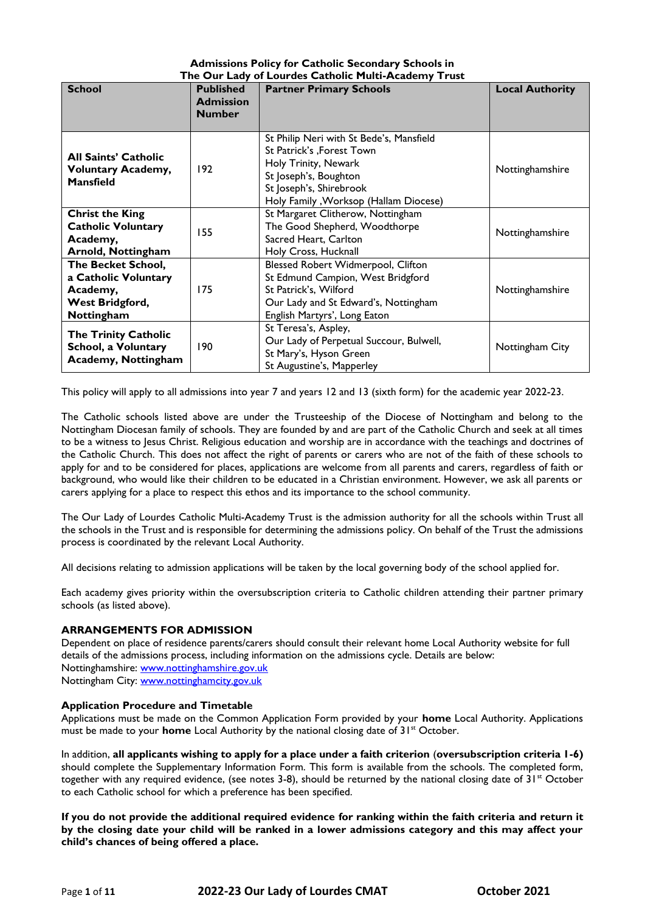| <b>Admissions Policy for Catholic Secondary Schools in</b> |  |
|------------------------------------------------------------|--|
| The Our Lady of Lourdes Catholic Multi-Academy Trust       |  |
|                                                            |  |

| <b>School</b>                                                                                  | <b>Published</b><br><b>Admission</b><br><b>Number</b> | <b>Partner Primary Schools</b>                                                                                                                                                              | <b>Local Authority</b> |
|------------------------------------------------------------------------------------------------|-------------------------------------------------------|---------------------------------------------------------------------------------------------------------------------------------------------------------------------------------------------|------------------------|
| <b>All Saints' Catholic</b><br><b>Voluntary Academy,</b><br><b>Mansfield</b>                   | 192                                                   | St Philip Neri with St Bede's, Mansfield<br>St Patrick's , Forest Town<br>Holy Trinity, Newark<br>St Joseph's, Boughton<br>St Joseph's, Shirebrook<br>Holy Family, Worksop (Hallam Diocese) | Nottinghamshire        |
| <b>Christ the King</b><br><b>Catholic Voluntary</b><br>Academy,<br>Arnold, Nottingham          | 155                                                   | St Margaret Clitherow, Nottingham<br>The Good Shepherd, Woodthorpe<br>Sacred Heart, Carlton<br>Holy Cross, Hucknall                                                                         | Nottinghamshire        |
| <b>The Becket School,</b><br>a Catholic Voluntary<br>Academy,<br>West Bridgford,<br>Nottingham | 175                                                   | Blessed Robert Widmerpool, Clifton<br>St Edmund Campion, West Bridgford<br>St Patrick's, Wilford<br>Our Lady and St Edward's, Nottingham<br>English Martyrs', Long Eaton                    | Nottinghamshire        |
| <b>The Trinity Catholic</b><br><b>School, a Voluntary</b><br><b>Academy, Nottingham</b>        | 190                                                   | St Teresa's, Aspley,<br>Our Lady of Perpetual Succour, Bulwell,<br>St Mary's, Hyson Green<br>St Augustine's, Mapperley                                                                      | Nottingham City        |

This policy will apply to all admissions into year 7 and years 12 and 13 (sixth form) for the academic year 2022-23.

The Catholic schools listed above are under the Trusteeship of the Diocese of Nottingham and belong to the Nottingham Diocesan family of schools. They are founded by and are part of the Catholic Church and seek at all times to be a witness to Jesus Christ. Religious education and worship are in accordance with the teachings and doctrines of the Catholic Church. This does not affect the right of parents or carers who are not of the faith of these schools to apply for and to be considered for places, applications are welcome from all parents and carers, regardless of faith or background, who would like their children to be educated in a Christian environment. However, we ask all parents or carers applying for a place to respect this ethos and its importance to the school community.

The Our Lady of Lourdes Catholic Multi-Academy Trust is the admission authority for all the schools within Trust all the schools in the Trust and is responsible for determining the admissions policy. On behalf of the Trust the admissions process is coordinated by the relevant Local Authority.

All decisions relating to admission applications will be taken by the local governing body of the school applied for.

Each academy gives priority within the oversubscription criteria to Catholic children attending their partner primary schools (as listed above).

## **ARRANGEMENTS FOR ADMISSION**

Dependent on place of residence parents/carers should consult their relevant home Local Authority website for full details of the admissions process, including information on the admissions cycle. Details are below: Nottinghamshire: [www.nottinghamshire.gov.uk](http://www.nottinghamshire.gov.uk/) Nottingham City: [www.nottinghamcity.gov.uk](http://www.nottinghamcity.gov.uk/)

## **Application Procedure and Timetable**

Applications must be made on the Common Application Form provided by your **home** Local Authority. Applications must be made to your **home** Local Authority by the national closing date of 31<sup>st</sup> October.

In addition, **all applicants wishing to apply for a place under a faith criterion** (**oversubscription criteria 1-6)** should complete the Supplementary Information Form. This form is available from the schools. The completed form, together with any required evidence, (see notes 3-8), should be returned by the national closing date of  $31^{st}$  October to each Catholic school for which a preference has been specified.

**If you do not provide the additional required evidence for ranking within the faith criteria and return it by the closing date your child will be ranked in a lower admissions category and this may affect your child's chances of being offered a place.**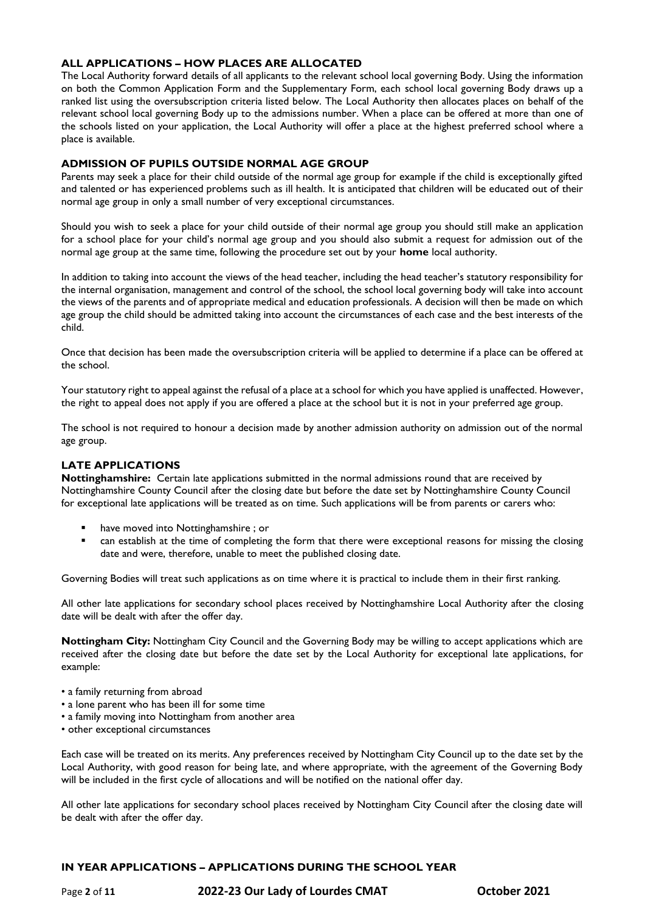## **ALL APPLICATIONS – HOW PLACES ARE ALLOCATED**

The Local Authority forward details of all applicants to the relevant school local governing Body. Using the information on both the Common Application Form and the Supplementary Form, each school local governing Body draws up a ranked list using the oversubscription criteria listed below. The Local Authority then allocates places on behalf of the relevant school local governing Body up to the admissions number. When a place can be offered at more than one of the schools listed on your application, the Local Authority will offer a place at the highest preferred school where a place is available.

## **ADMISSION OF PUPILS OUTSIDE NORMAL AGE GROUP**

Parents may seek a place for their child outside of the normal age group for example if the child is exceptionally gifted and talented or has experienced problems such as ill health. It is anticipated that children will be educated out of their normal age group in only a small number of very exceptional circumstances.

Should you wish to seek a place for your child outside of their normal age group you should still make an application for a school place for your child's normal age group and you should also submit a request for admission out of the normal age group at the same time, following the procedure set out by your **home** local authority.

In addition to taking into account the views of the head teacher, including the head teacher's statutory responsibility for the internal organisation, management and control of the school, the school local governing body will take into account the views of the parents and of appropriate medical and education professionals. A decision will then be made on which age group the child should be admitted taking into account the circumstances of each case and the best interests of the child.

Once that decision has been made the oversubscription criteria will be applied to determine if a place can be offered at the school.

Your statutory right to appeal against the refusal of a place at a school for which you have applied is unaffected. However, the right to appeal does not apply if you are offered a place at the school but it is not in your preferred age group.

The school is not required to honour a decision made by another admission authority on admission out of the normal age group.

## **LATE APPLICATIONS**

**Nottinghamshire:** Certain late applications submitted in the normal admissions round that are received by Nottinghamshire County Council after the closing date but before the date set by Nottinghamshire County Council for exceptional late applications will be treated as on time. Such applications will be from parents or carers who:

- have moved into Nottinghamshire ; or
- can establish at the time of completing the form that there were exceptional reasons for missing the closing date and were, therefore, unable to meet the published closing date.

Governing Bodies will treat such applications as on time where it is practical to include them in their first ranking.

All other late applications for secondary school places received by Nottinghamshire Local Authority after the closing date will be dealt with after the offer day.

**Nottingham City:** Nottingham City Council and the Governing Body may be willing to accept applications which are received after the closing date but before the date set by the Local Authority for exceptional late applications, for example:

- a family returning from abroad
- a lone parent who has been ill for some time
- a family moving into Nottingham from another area
- other exceptional circumstances

Each case will be treated on its merits. Any preferences received by Nottingham City Council up to the date set by the Local Authority, with good reason for being late, and where appropriate, with the agreement of the Governing Body will be included in the first cycle of allocations and will be notified on the national offer day.

All other late applications for secondary school places received by Nottingham City Council after the closing date will be dealt with after the offer day.

## **IN YEAR APPLICATIONS – APPLICATIONS DURING THE SCHOOL YEAR**

Page **2** of **11 2022-23 Our Lady of Lourdes CMAT October 2021**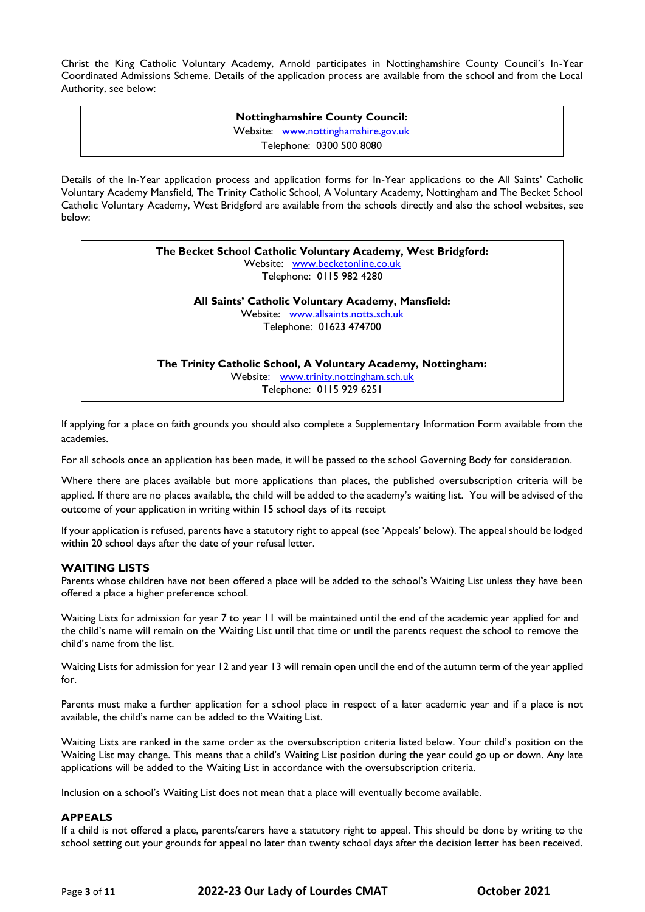Christ the King Catholic Voluntary Academy, Arnold participates in Nottinghamshire County Council's In-Year Coordinated Admissions Scheme. Details of the application process are available from the school and from the Local Authority, see below:

> **Nottinghamshire County Council:** Website: [www.nottinghamshire.gov.uk](http://www.nottinghamshire.gov.uk/) Telephone: 0300 500 8080

Details of the In-Year application process and application forms for In-Year applications to the All Saints' Catholic Voluntary Academy Mansfield, The Trinity Catholic School, A Voluntary Academy, Nottingham and The Becket School Catholic Voluntary Academy, West Bridgford are available from the schools directly and also the school websites, see below:

| The Becket School Catholic Voluntary Academy, West Bridgford: |
|---------------------------------------------------------------|
| Website: www.becketonline.co.uk                               |
| Telephone: 0115 982 4280                                      |

**All Saints' Catholic Voluntary Academy, Mansfield:** Website: [www.allsaints.notts.sch.uk](http://www.allsaints.notts.sch.uk/) Telephone: 01623 474700

**The Trinity Catholic School, A Voluntary Academy, Nottingham:** Website: [www.trinity.nottingham.sch.uk](http://www.trinity.nottingham.sch.uk/) Telephone: 0115 929 6251

If applying for a place on faith grounds you should also complete a Supplementary Information Form available from the academies.

For all schools once an application has been made, it will be passed to the school Governing Body for consideration.

Where there are places available but more applications than places, the published oversubscription criteria will be applied. If there are no places available, the child will be added to the academy's waiting list. You will be advised of the outcome of your application in writing within 15 school days of its receipt

If your application is refused, parents have a statutory right to appeal (see 'Appeals' below). The appeal should be lodged within 20 school days after the date of your refusal letter.

## **WAITING LISTS**

Parents whose children have not been offered a place will be added to the school's Waiting List unless they have been offered a place a higher preference school.

Waiting Lists for admission for year 7 to year 11 will be maintained until the end of the academic year applied for and the child's name will remain on the Waiting List until that time or until the parents request the school to remove the child's name from the list.

Waiting Lists for admission for year 12 and year 13 will remain open until the end of the autumn term of the year applied for.

Parents must make a further application for a school place in respect of a later academic year and if a place is not available, the child's name can be added to the Waiting List.

Waiting Lists are ranked in the same order as the oversubscription criteria listed below. Your child's position on the Waiting List may change. This means that a child's Waiting List position during the year could go up or down. Any late applications will be added to the Waiting List in accordance with the oversubscription criteria.

Inclusion on a school's Waiting List does not mean that a place will eventually become available.

#### **APPEALS**

If a child is not offered a place, parents/carers have a statutory right to appeal. This should be done by writing to the school setting out your grounds for appeal no later than twenty school days after the decision letter has been received.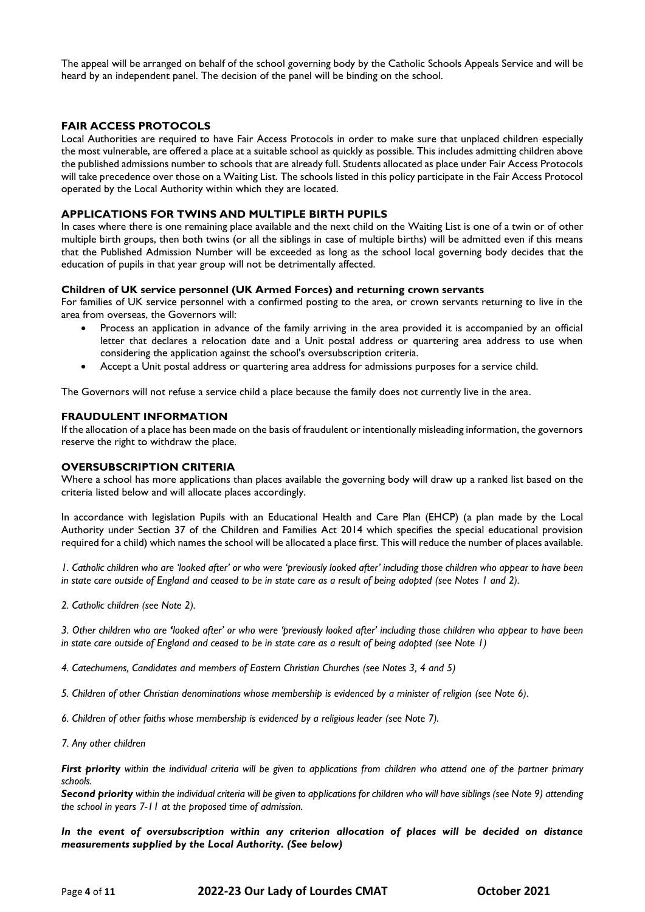The appeal will be arranged on behalf of the school governing body by the Catholic Schools Appeals Service and will be heard by an independent panel. The decision of the panel will be binding on the school.

## **FAIR ACCESS PROTOCOLS**

Local Authorities are required to have Fair Access Protocols in order to make sure that unplaced children especially the most vulnerable, are offered a place at a suitable school as quickly as possible. This includes admitting children above the published admissions number to schools that are already full. Students allocated as place under Fair Access Protocols will take precedence over those on a Waiting List. The schools listed in this policy participate in the Fair Access Protocol operated by the Local Authority within which they are located.

#### **APPLICATIONS FOR TWINS AND MULTIPLE BIRTH PUPILS**

In cases where there is one remaining place available and the next child on the Waiting List is one of a twin or of other multiple birth groups, then both twins (or all the siblings in case of multiple births) will be admitted even if this means that the Published Admission Number will be exceeded as long as the school local governing body decides that the education of pupils in that year group will not be detrimentally affected.

#### **Children of UK service personnel (UK Armed Forces) and returning crown servants**

For families of UK service personnel with a confirmed posting to the area, or crown servants returning to live in the area from overseas, the Governors will:

- Process an application in advance of the family arriving in the area provided it is accompanied by an official letter that declares a relocation date and a Unit postal address or quartering area address to use when considering the application against the school's oversubscription criteria.
- Accept a Unit postal address or quartering area address for admissions purposes for a service child.

The Governors will not refuse a service child a place because the family does not currently live in the area.

#### **FRAUDULENT INFORMATION**

If the allocation of a place has been made on the basis of fraudulent or intentionally misleading information, the governors reserve the right to withdraw the place.

#### **OVERSUBSCRIPTION CRITERIA**

Where a school has more applications than places available the governing body will draw up a ranked list based on the criteria listed below and will allocate places accordingly.

In accordance with legislation Pupils with an Educational Health and Care Plan (EHCP) (a plan made by the Local Authority under Section 37 of the Children and Families Act 2014 which specifies the special educational provision required for a child) which names the school will be allocated a place first. This will reduce the number of places available.

*1. Catholic children who are 'looked after' or who were 'previously looked after' including those children who appear to have been in state care outside of England and ceased to be in state care as a result of being adopted (see Notes 1 and 2).*

*2. Catholic children (see Note 2).*

*3. Other children who are 'looked after' or who were 'previously looked after' including those children who appear to have been in state care outside of England and ceased to be in state care as a result of being adopted (see Note 1)*

*4. Catechumens, Candidates and members of Eastern Christian Churches (see Notes 3, 4 and 5)*

*5. Children of other Christian denominations whose membership is evidenced by a minister of religion (see Note 6).*

*6. Children of other faiths whose membership is evidenced by a religious leader (see Note 7).*

*7. Any other children*

*First priority within the individual criteria will be given to applications from children who attend one of the partner primary schools.*

*Second priority within the individual criteria will be given to applications for children who will have siblings (see Note 9) attending the school in years 7-11 at the proposed time of admission.*

*In the event of oversubscription within any criterion allocation of places will be decided on distance measurements supplied by the Local Authority. (See below)*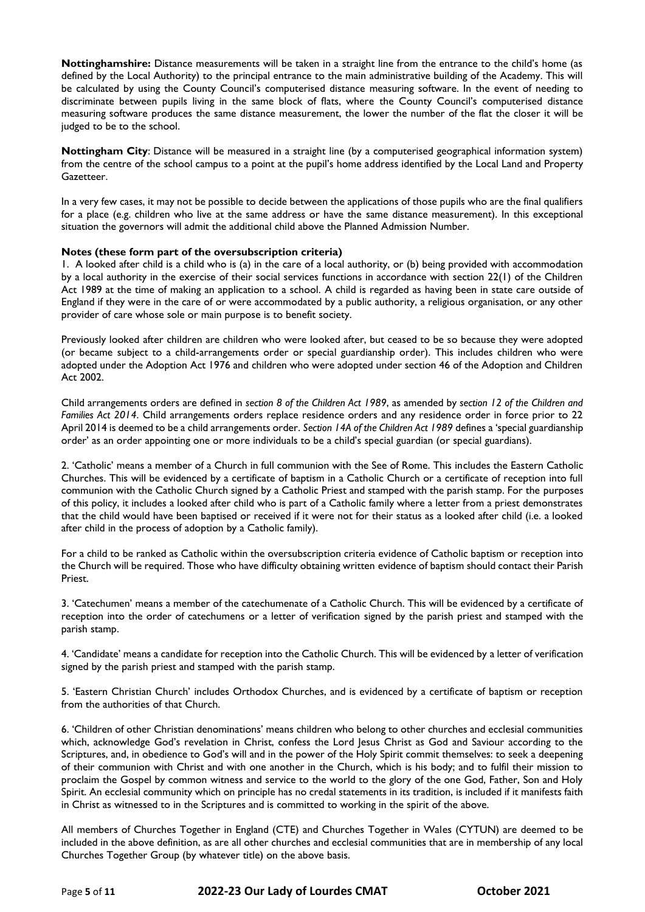**Nottinghamshire:** Distance measurements will be taken in a straight line from the entrance to the child's home (as defined by the Local Authority) to the principal entrance to the main administrative building of the Academy. This will be calculated by using the County Council's computerised distance measuring software. In the event of needing to discriminate between pupils living in the same block of flats, where the County Council's computerised distance measuring software produces the same distance measurement, the lower the number of the flat the closer it will be judged to be to the school.

**Nottingham City**: Distance will be measured in a straight line (by a computerised geographical information system) from the centre of the school campus to a point at the pupil's home address identified by the Local Land and Property Gazetteer.

In a very few cases, it may not be possible to decide between the applications of those pupils who are the final qualifiers for a place (e.g. children who live at the same address or have the same distance measurement). In this exceptional situation the governors will admit the additional child above the Planned Admission Number.

## **Notes (these form part of the oversubscription criteria)**

1. A looked after child is a child who is (a) in the care of a local authority, or (b) being provided with accommodation by a local authority in the exercise of their social services functions in accordance with section 22(1) of the Children Act 1989 at the time of making an application to a school. A child is regarded as having been in state care outside of England if they were in the care of or were accommodated by a public authority, a religious organisation, or any other provider of care whose sole or main purpose is to benefit society.

Previously looked after children are children who were looked after, but ceased to be so because they were adopted (or became subject to a child-arrangements order or special guardianship order). This includes children who were adopted under the Adoption Act 1976 and children who were adopted under section 46 of the Adoption and Children Act 2002.

Child arrangements orders are defined in *section 8 of the Children Act 1989*, as amended by *section 12 of the Children and Families Act 2014*. Child arrangements orders replace residence orders and any residence order in force prior to 22 April 2014 is deemed to be a child arrangements order. *Section 14A of the Children Act 1989* defines a 'special guardianship order' as an order appointing one or more individuals to be a child's special guardian (or special guardians).

2. 'Catholic' means a member of a Church in full communion with the See of Rome. This includes the Eastern Catholic Churches. This will be evidenced by a certificate of baptism in a Catholic Church or a certificate of reception into full communion with the Catholic Church signed by a Catholic Priest and stamped with the parish stamp. For the purposes of this policy, it includes a looked after child who is part of a Catholic family where a letter from a priest demonstrates that the child would have been baptised or received if it were not for their status as a looked after child (i.e. a looked after child in the process of adoption by a Catholic family).

For a child to be ranked as Catholic within the oversubscription criteria evidence of Catholic baptism or reception into the Church will be required. Those who have difficulty obtaining written evidence of baptism should contact their Parish Priest.

3. 'Catechumen' means a member of the catechumenate of a Catholic Church. This will be evidenced by a certificate of reception into the order of catechumens or a letter of verification signed by the parish priest and stamped with the parish stamp.

4. 'Candidate' means a candidate for reception into the Catholic Church. This will be evidenced by a letter of verification signed by the parish priest and stamped with the parish stamp.

5. 'Eastern Christian Church' includes Orthodox Churches, and is evidenced by a certificate of baptism or reception from the authorities of that Church.

6. 'Children of other Christian denominations' means children who belong to other churches and ecclesial communities which, acknowledge God's revelation in Christ, confess the Lord Jesus Christ as God and Saviour according to the Scriptures, and, in obedience to God's will and in the power of the Holy Spirit commit themselves: to seek a deepening of their communion with Christ and with one another in the Church, which is his body; and to fulfil their mission to proclaim the Gospel by common witness and service to the world to the glory of the one God, Father, Son and Holy Spirit. An ecclesial community which on principle has no credal statements in its tradition, is included if it manifests faith in Christ as witnessed to in the Scriptures and is committed to working in the spirit of the above.

All members of Churches Together in England (CTE) and Churches Together in Wales (CYTUN) are deemed to be included in the above definition, as are all other churches and ecclesial communities that are in membership of any local Churches Together Group (by whatever title) on the above basis.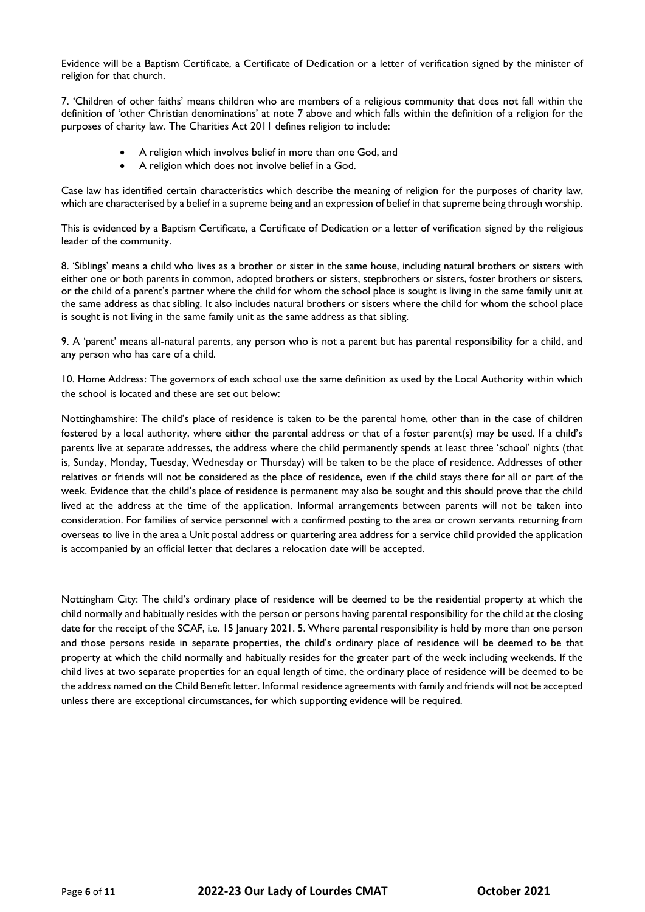Evidence will be a Baptism Certificate, a Certificate of Dedication or a letter of verification signed by the minister of religion for that church.

7. 'Children of other faiths' means children who are members of a religious community that does not fall within the definition of 'other Christian denominations' at note 7 above and which falls within the definition of a religion for the purposes of charity law. The Charities Act 2011 defines religion to include:

- A religion which involves belief in more than one God, and
- A religion which does not involve belief in a God.

Case law has identified certain characteristics which describe the meaning of religion for the purposes of charity law, which are characterised by a belief in a supreme being and an expression of belief in that supreme being through worship.

This is evidenced by a Baptism Certificate, a Certificate of Dedication or a letter of verification signed by the religious leader of the community.

8. 'Siblings' means a child who lives as a brother or sister in the same house, including natural brothers or sisters with either one or both parents in common, adopted brothers or sisters, stepbrothers or sisters, foster brothers or sisters, or the child of a parent's partner where the child for whom the school place is sought is living in the same family unit at the same address as that sibling. It also includes natural brothers or sisters where the child for whom the school place is sought is not living in the same family unit as the same address as that sibling.

9. A 'parent' means all-natural parents, any person who is not a parent but has parental responsibility for a child, and any person who has care of a child.

10. Home Address: The governors of each school use the same definition as used by the Local Authority within which the school is located and these are set out below:

Nottinghamshire: The child's place of residence is taken to be the parental home, other than in the case of children fostered by a local authority, where either the parental address or that of a foster parent(s) may be used. If a child's parents live at separate addresses, the address where the child permanently spends at least three 'school' nights (that is, Sunday, Monday, Tuesday, Wednesday or Thursday) will be taken to be the place of residence. Addresses of other relatives or friends will not be considered as the place of residence, even if the child stays there for all or part of the week. Evidence that the child's place of residence is permanent may also be sought and this should prove that the child lived at the address at the time of the application. Informal arrangements between parents will not be taken into consideration. For families of service personnel with a confirmed posting to the area or crown servants returning from overseas to live in the area a Unit postal address or quartering area address for a service child provided the application is accompanied by an official letter that declares a relocation date will be accepted.

Nottingham City: The child's ordinary place of residence will be deemed to be the residential property at which the child normally and habitually resides with the person or persons having parental responsibility for the child at the closing date for the receipt of the SCAF, i.e. 15 January 2021. 5. Where parental responsibility is held by more than one person and those persons reside in separate properties, the child's ordinary place of residence will be deemed to be that property at which the child normally and habitually resides for the greater part of the week including weekends. If the child lives at two separate properties for an equal length of time, the ordinary place of residence will be deemed to be the address named on the Child Benefit letter. Informal residence agreements with family and friends will not be accepted unless there are exceptional circumstances, for which supporting evidence will be required.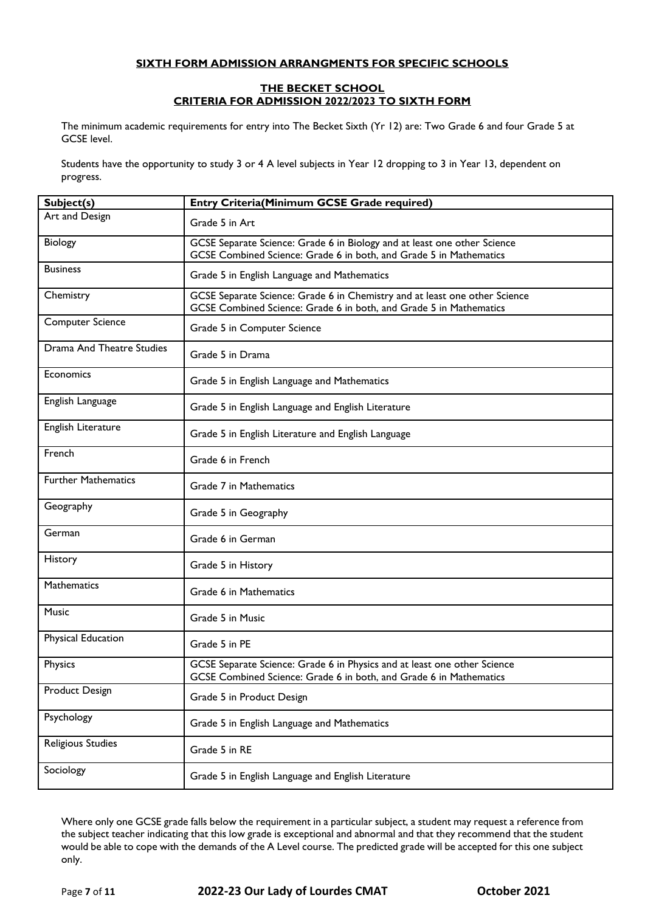## **SIXTH FORM ADMISSION ARRANGMENTS FOR SPECIFIC SCHOOLS**

#### **THE BECKET SCHOOL CRITERIA FOR ADMISSION 2022/2023 TO SIXTH FORM**

The minimum academic requirements for entry into The Becket Sixth (Yr 12) are: Two Grade 6 and four Grade 5 at GCSE level.

Students have the opportunity to study 3 or 4 A level subjects in Year 12 dropping to 3 in Year 13, dependent on progress.

| Subject(s)                 | <b>Entry Criteria(Minimum GCSE Grade required)</b>                                                                                               |
|----------------------------|--------------------------------------------------------------------------------------------------------------------------------------------------|
| Art and Design             | Grade 5 in Art                                                                                                                                   |
| Biology                    | GCSE Separate Science: Grade 6 in Biology and at least one other Science<br>GCSE Combined Science: Grade 6 in both, and Grade 5 in Mathematics   |
| <b>Business</b>            | Grade 5 in English Language and Mathematics                                                                                                      |
| Chemistry                  | GCSE Separate Science: Grade 6 in Chemistry and at least one other Science<br>GCSE Combined Science: Grade 6 in both, and Grade 5 in Mathematics |
| <b>Computer Science</b>    | Grade 5 in Computer Science                                                                                                                      |
| Drama And Theatre Studies  | Grade 5 in Drama                                                                                                                                 |
| Economics                  | Grade 5 in English Language and Mathematics                                                                                                      |
| English Language           | Grade 5 in English Language and English Literature                                                                                               |
| English Literature         | Grade 5 in English Literature and English Language                                                                                               |
| French                     | Grade 6 in French                                                                                                                                |
| <b>Further Mathematics</b> | Grade 7 in Mathematics                                                                                                                           |
| Geography                  | Grade 5 in Geography                                                                                                                             |
| German                     | Grade 6 in German                                                                                                                                |
| History                    | Grade 5 in History                                                                                                                               |
| Mathematics                | Grade 6 in Mathematics                                                                                                                           |
| Music                      | Grade 5 in Music                                                                                                                                 |
| Physical Education         | Grade 5 in PE                                                                                                                                    |
| Physics                    | GCSE Separate Science: Grade 6 in Physics and at least one other Science<br>GCSE Combined Science: Grade 6 in both, and Grade 6 in Mathematics   |
| Product Design             | Grade 5 in Product Design                                                                                                                        |
| Psychology                 | Grade 5 in English Language and Mathematics                                                                                                      |
| Religious Studies          | Grade 5 in RE                                                                                                                                    |
| Sociology                  | Grade 5 in English Language and English Literature                                                                                               |

Where only one GCSE grade falls below the requirement in a particular subject, a student may request a reference from the subject teacher indicating that this low grade is exceptional and abnormal and that they recommend that the student would be able to cope with the demands of the A Level course. The predicted grade will be accepted for this one subject only.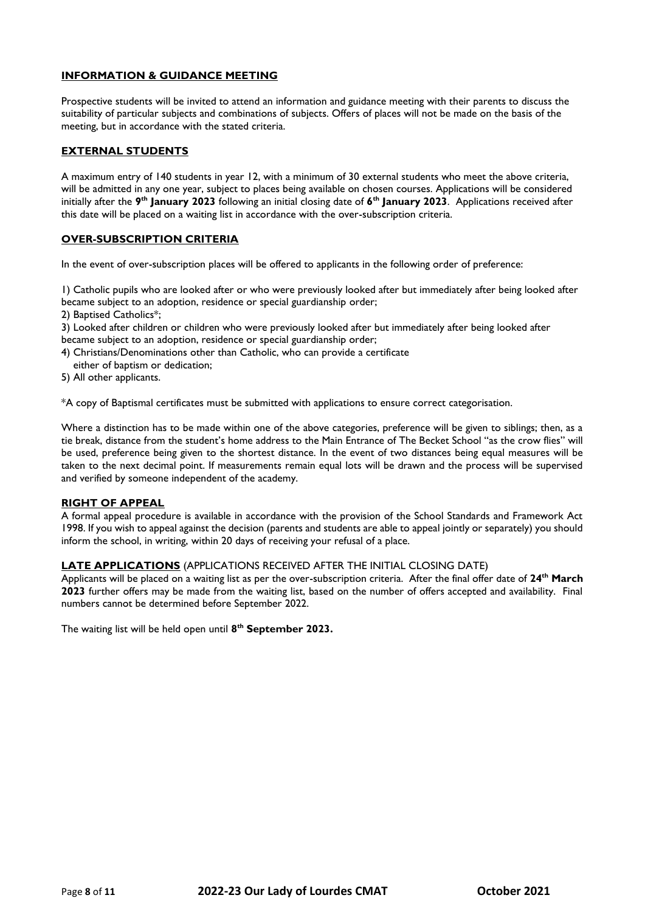## **INFORMATION & GUIDANCE MEETING**

Prospective students will be invited to attend an information and guidance meeting with their parents to discuss the suitability of particular subjects and combinations of subjects. Offers of places will not be made on the basis of the meeting, but in accordance with the stated criteria.

## **EXTERNAL STUDENTS**

A maximum entry of 140 students in year 12, with a minimum of 30 external students who meet the above criteria, will be admitted in any one year, subject to places being available on chosen courses. Applications will be considered initially after the **9 th January 2023** following an initial closing date of **6 th January 2023**. Applications received after this date will be placed on a waiting list in accordance with the over-subscription criteria.

## **OVER-SUBSCRIPTION CRITERIA**

In the event of over-subscription places will be offered to applicants in the following order of preference:

1) Catholic pupils who are looked after or who were previously looked after but immediately after being looked after became subject to an adoption, residence or special guardianship order;

2) Baptised Catholics\*;

3) Looked after children or children who were previously looked after but immediately after being looked after became subject to an adoption, residence or special guardianship order;

4) Christians/Denominations other than Catholic, who can provide a certificate

either of baptism or dedication;

5) All other applicants.

\*A copy of Baptismal certificates must be submitted with applications to ensure correct categorisation.

Where a distinction has to be made within one of the above categories, preference will be given to siblings; then, as a tie break, distance from the student's home address to the Main Entrance of The Becket School "as the crow flies" will be used, preference being given to the shortest distance. In the event of two distances being equal measures will be taken to the next decimal point. If measurements remain equal lots will be drawn and the process will be supervised and verified by someone independent of the academy.

## **RIGHT OF APPEAL**

A formal appeal procedure is available in accordance with the provision of the School Standards and Framework Act 1998. If you wish to appeal against the decision (parents and students are able to appeal jointly or separately) you should inform the school, in writing, within 20 days of receiving your refusal of a place.

## **LATE APPLICATIONS** (APPLICATIONS RECEIVED AFTER THE INITIAL CLOSING DATE)

Applicants will be placed on a waiting list as per the over-subscription criteria. After the final offer date of **24th March 2023** further offers may be made from the waiting list, based on the number of offers accepted and availability. Final numbers cannot be determined before September 2022.

The waiting list will be held open until **8 th September 2023.**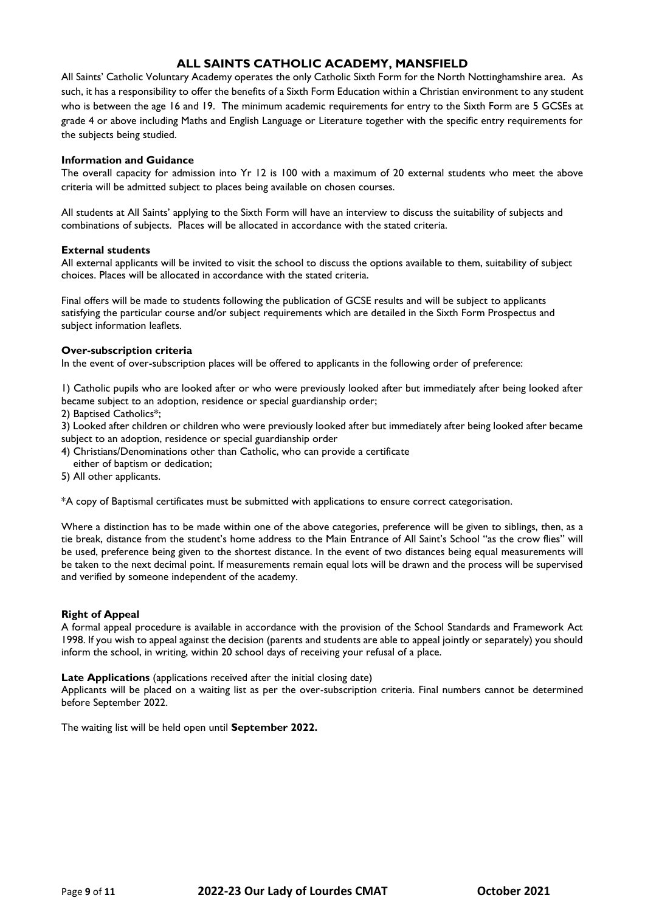# **ALL SAINTS CATHOLIC ACADEMY, MANSFIELD**

All Saints' Catholic Voluntary Academy operates the only Catholic Sixth Form for the North Nottinghamshire area. As such, it has a responsibility to offer the benefits of a Sixth Form Education within a Christian environment to any student who is between the age 16 and 19. The minimum academic requirements for entry to the Sixth Form are 5 GCSEs at grade 4 or above including Maths and English Language or Literature together with the specific entry requirements for the subjects being studied.

## **Information and Guidance**

The overall capacity for admission into Yr 12 is 100 with a maximum of 20 external students who meet the above criteria will be admitted subject to places being available on chosen courses.

All students at All Saints' applying to the Sixth Form will have an interview to discuss the suitability of subjects and combinations of subjects. Places will be allocated in accordance with the stated criteria.

## **External students**

All external applicants will be invited to visit the school to discuss the options available to them, suitability of subject choices. Places will be allocated in accordance with the stated criteria.

Final offers will be made to students following the publication of GCSE results and will be subject to applicants satisfying the particular course and/or subject requirements which are detailed in the Sixth Form Prospectus and subject information leaflets.

## **Over-subscription criteria**

In the event of over-subscription places will be offered to applicants in the following order of preference:

1) Catholic pupils who are looked after or who were previously looked after but immediately after being looked after became subject to an adoption, residence or special guardianship order;

2) Baptised Catholics\*;

3) Looked after children or children who were previously looked after but immediately after being looked after became subject to an adoption, residence or special guardianship order

4) Christians/Denominations other than Catholic, who can provide a certificate

either of baptism or dedication;

5) All other applicants.

\*A copy of Baptismal certificates must be submitted with applications to ensure correct categorisation.

Where a distinction has to be made within one of the above categories, preference will be given to siblings, then, as a tie break, distance from the student's home address to the Main Entrance of All Saint's School "as the crow flies" will be used, preference being given to the shortest distance. In the event of two distances being equal measurements will be taken to the next decimal point. If measurements remain equal lots will be drawn and the process will be supervised and verified by someone independent of the academy.

## **Right of Appeal**

A formal appeal procedure is available in accordance with the provision of the School Standards and Framework Act 1998. If you wish to appeal against the decision (parents and students are able to appeal jointly or separately) you should inform the school, in writing, within 20 school days of receiving your refusal of a place.

## **Late Applications** (applications received after the initial closing date)

Applicants will be placed on a waiting list as per the over-subscription criteria. Final numbers cannot be determined before September 2022.

The waiting list will be held open until **September 2022.**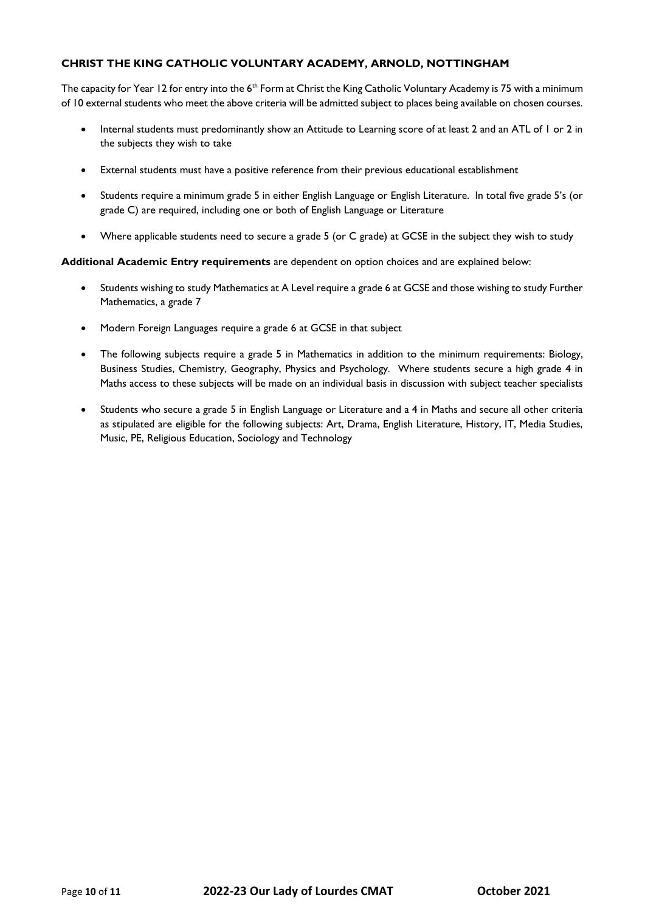## **CHRIST THE KING CATHOLIC VOLUNTARY ACADEMY, ARNOLD, NOTTINGHAM**

The capacity for Year 12 for entry into the 6<sup>th</sup> Form at Christ the King Catholic Voluntary Academy is 75 with a minimum of 10 external students who meet the above criteria will be admitted subject to places being available on chosen courses.

- Internal students must predominantly show an Attitude to Learning score of at least 2 and an ATL of 1 or 2 in the subjects they wish to take
- External students must have a positive reference from their previous educational establishment
- Students require a minimum grade 5 in either English Language or English Literature. In total five grade 5's (or grade C) are required, including one or both of English Language or Literature
- Where applicable students need to secure a grade 5 (or C grade) at GCSE in the subject they wish to study

## **Additional Academic Entry requirements** are dependent on option choices and are explained below:

- Students wishing to study Mathematics at A Level require a grade 6 at GCSE and those wishing to study Further Mathematics, a grade 7
- Modern Foreign Languages require a grade 6 at GCSE in that subject
- The following subjects require a grade 5 in Mathematics in addition to the minimum requirements: Biology, Business Studies, Chemistry, Geography, Physics and Psychology. Where students secure a high grade 4 in Maths access to these subjects will be made on an individual basis in discussion with subject teacher specialists
- Students who secure a grade 5 in English Language or Literature and a 4 in Maths and secure all other criteria as stipulated are eligible for the following subjects: Art, Drama, English Literature, History, IT, Media Studies, Music, PE, Religious Education, Sociology and Technology